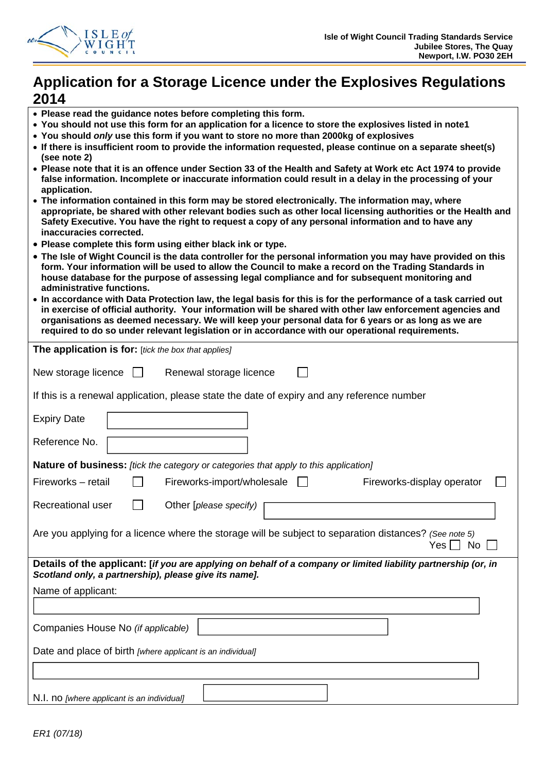

# **Application for a Storage Licence under the Explosives Regulations 2014**

- **Please read the guidance notes before completing this form.**
- **You should not use this form for an application for a licence to store the explosives listed in note1**
- **You should** *only* **use this form if you want to store no more than 2000kg of explosives**
- **If there is insufficient room to provide the information requested, please continue on a separate sheet(s) (see note 2)**
- **Please note that it is an offence under Section 33 of the Health and Safety at Work etc Act 1974 to provide false information. Incomplete or inaccurate information could result in a delay in the processing of your application.**
- **The information contained in this form may be stored electronically. The information may, where appropriate, be shared with other relevant bodies such as other local licensing authorities or the Health and Safety Executive. You have the right to request a copy of any personal information and to have any inaccuracies corrected.**
- **Please complete this form using either black ink or type.**
- **The Isle of Wight Council is the data controller for the personal information you may have provided on this form. Your information will be used to allow the Council to make a record on the Trading Standards in house database for the purpose of assessing legal compliance and for subsequent monitoring and administrative functions.**
- **In accordance with Data Protection law, the legal basis for this is for the performance of a task carried out in exercise of official authority. Your information will be shared with other law enforcement agencies and organisations as deemed necessary. We will keep your personal data for 6 years or as long as we are required to do so under relevant legislation or in accordance with our operational requirements.**

| The application is for: [tick the box that applies]                                                                                                                     |
|-------------------------------------------------------------------------------------------------------------------------------------------------------------------------|
|                                                                                                                                                                         |
| New storage licence $\Box$<br>Renewal storage licence                                                                                                                   |
| If this is a renewal application, please state the date of expiry and any reference number                                                                              |
|                                                                                                                                                                         |
| <b>Expiry Date</b>                                                                                                                                                      |
| Reference No.                                                                                                                                                           |
| <b>Nature of business:</b> [tick the category or categories that apply to this application]                                                                             |
| Fireworks - retail<br>Fireworks-import/wholesale<br>Fireworks-display operator                                                                                          |
| Recreational user<br>Other [please specify)                                                                                                                             |
| Are you applying for a licence where the storage will be subject to separation distances? (See note 5)<br>No<br>Yes II                                                  |
| Details of the applicant: [if you are applying on behalf of a company or limited liability partnership (or, in<br>Scotland only, a partnership), please give its name]. |
| Name of applicant:                                                                                                                                                      |
|                                                                                                                                                                         |
| Companies House No (if applicable)                                                                                                                                      |
| Date and place of birth [where applicant is an individual]                                                                                                              |
|                                                                                                                                                                         |
| N.I. no [where applicant is an individual]                                                                                                                              |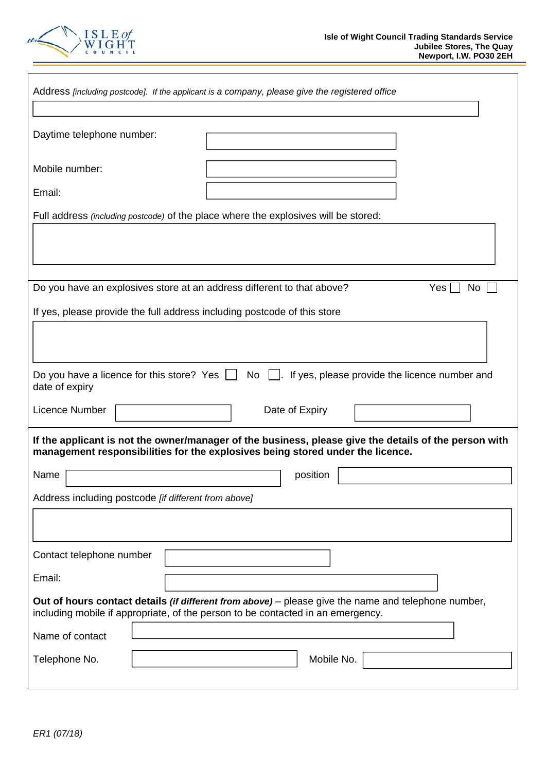

| Address [including postcode]. If the applicant is a company, please give the registered office                                                                                                |
|-----------------------------------------------------------------------------------------------------------------------------------------------------------------------------------------------|
|                                                                                                                                                                                               |
| Daytime telephone number:                                                                                                                                                                     |
|                                                                                                                                                                                               |
| Mobile number:                                                                                                                                                                                |
| Email:                                                                                                                                                                                        |
| Full address (including postcode) of the place where the explosives will be stored:                                                                                                           |
|                                                                                                                                                                                               |
|                                                                                                                                                                                               |
|                                                                                                                                                                                               |
| Do you have an explosives store at an address different to that above?<br>Yes <br>No                                                                                                          |
| If yes, please provide the full address including postcode of this store                                                                                                                      |
|                                                                                                                                                                                               |
|                                                                                                                                                                                               |
|                                                                                                                                                                                               |
| No<br>Do you have a licence for this store? Yes $\Box$<br>If yes, please provide the licence number and<br>date of expiry                                                                     |
| Licence Number<br>Date of Expiry                                                                                                                                                              |
| If the applicant is not the owner/manager of the business, please give the details of the person with<br>management responsibilities for the explosives being stored under the licence.       |
| Name<br>position                                                                                                                                                                              |
| Address including postcode [if different from above]                                                                                                                                          |
|                                                                                                                                                                                               |
|                                                                                                                                                                                               |
| Contact telephone number                                                                                                                                                                      |
|                                                                                                                                                                                               |
| Email:                                                                                                                                                                                        |
| Out of hours contact details <i>(if different from above)</i> – please give the name and telephone number,<br>including mobile if appropriate, of the person to be contacted in an emergency. |
| Name of contact                                                                                                                                                                               |
| Telephone No.<br>Mobile No.                                                                                                                                                                   |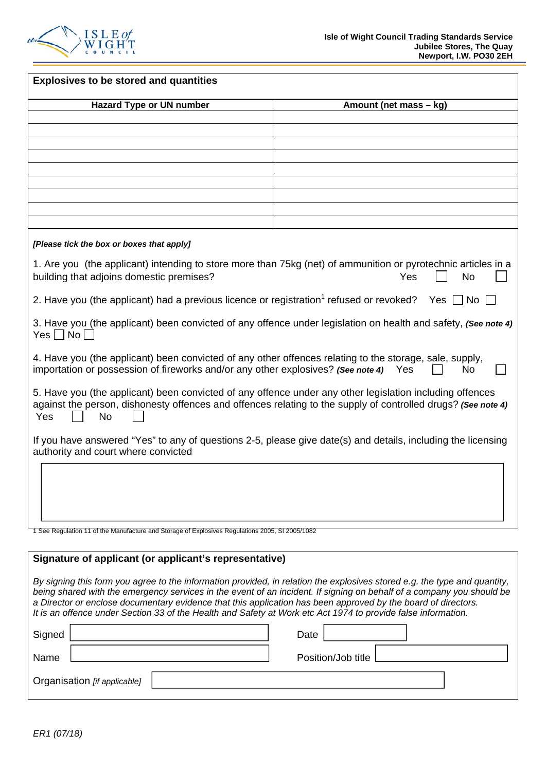

| <b>Explosives to be stored and quantities</b>                                                                                                                                                                                                                                                                                                                                                                                                                                        |                        |  |  |  |
|--------------------------------------------------------------------------------------------------------------------------------------------------------------------------------------------------------------------------------------------------------------------------------------------------------------------------------------------------------------------------------------------------------------------------------------------------------------------------------------|------------------------|--|--|--|
| <b>Hazard Type or UN number</b>                                                                                                                                                                                                                                                                                                                                                                                                                                                      | Amount (net mass – kg) |  |  |  |
|                                                                                                                                                                                                                                                                                                                                                                                                                                                                                      |                        |  |  |  |
|                                                                                                                                                                                                                                                                                                                                                                                                                                                                                      |                        |  |  |  |
|                                                                                                                                                                                                                                                                                                                                                                                                                                                                                      |                        |  |  |  |
|                                                                                                                                                                                                                                                                                                                                                                                                                                                                                      |                        |  |  |  |
|                                                                                                                                                                                                                                                                                                                                                                                                                                                                                      |                        |  |  |  |
|                                                                                                                                                                                                                                                                                                                                                                                                                                                                                      |                        |  |  |  |
|                                                                                                                                                                                                                                                                                                                                                                                                                                                                                      |                        |  |  |  |
|                                                                                                                                                                                                                                                                                                                                                                                                                                                                                      |                        |  |  |  |
| [Please tick the box or boxes that apply]                                                                                                                                                                                                                                                                                                                                                                                                                                            |                        |  |  |  |
| 1. Are you (the applicant) intending to store more than 75kg (net) of ammunition or pyrotechnic articles in a<br>building that adjoins domestic premises?                                                                                                                                                                                                                                                                                                                            | Yes<br>No              |  |  |  |
| 2. Have you (the applicant) had a previous licence or registration <sup>1</sup> refused or revoked? Yes $\Box$ No                                                                                                                                                                                                                                                                                                                                                                    |                        |  |  |  |
| 3. Have you (the applicant) been convicted of any offence under legislation on health and safety, (See note 4)<br>$Yes \Box No$                                                                                                                                                                                                                                                                                                                                                      |                        |  |  |  |
| 4. Have you (the applicant) been convicted of any other offences relating to the storage, sale, supply,<br>importation or possession of fireworks and/or any other explosives? (See note 4)                                                                                                                                                                                                                                                                                          | Yes<br>No              |  |  |  |
| 5. Have you (the applicant) been convicted of any offence under any other legislation including offences<br>against the person, dishonesty offences and offences relating to the supply of controlled drugs? (See note 4)<br>Yes<br><b>No</b>                                                                                                                                                                                                                                        |                        |  |  |  |
| If you have answered "Yes" to any of questions 2-5, please give date(s) and details, including the licensing<br>authority and court where convicted                                                                                                                                                                                                                                                                                                                                  |                        |  |  |  |
|                                                                                                                                                                                                                                                                                                                                                                                                                                                                                      |                        |  |  |  |
| 1 See Regulation 11 of the Manufacture and Storage of Explosives Regulations 2005, SI 2005/1082                                                                                                                                                                                                                                                                                                                                                                                      |                        |  |  |  |
| Signature of applicant (or applicant's representative)                                                                                                                                                                                                                                                                                                                                                                                                                               |                        |  |  |  |
| By signing this form you agree to the information provided, in relation the explosives stored e.g. the type and quantity,<br>being shared with the emergency services in the event of an incident. If signing on behalf of a company you should be<br>a Director or enclose documentary evidence that this application has been approved by the board of directors.<br>It is an offence under Section 33 of the Health and Safety at Work etc Act 1974 to provide false information. |                        |  |  |  |

| Signed                       | Date                 |
|------------------------------|----------------------|
| Name                         | Position/Job title [ |
| Organisation [if applicable] |                      |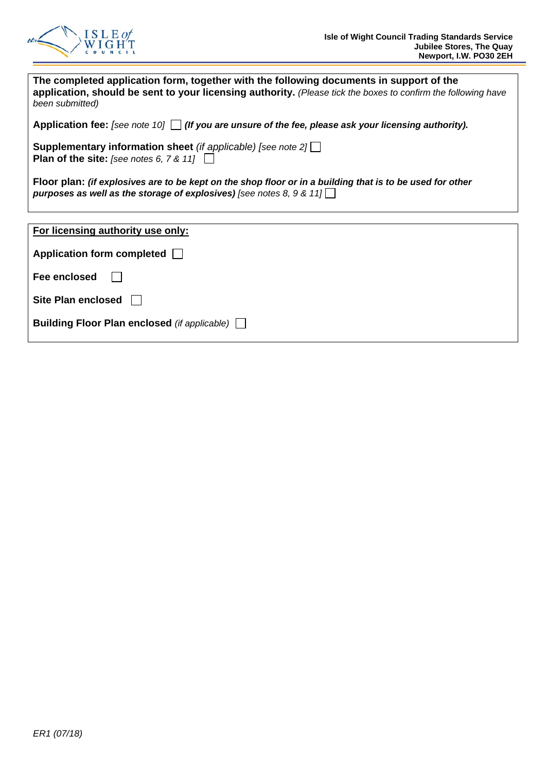

| The completed application form, together with the following documents in support of the<br>application, should be sent to your licensing authority. (Please tick the boxes to confirm the following have<br>been submitted) |
|-----------------------------------------------------------------------------------------------------------------------------------------------------------------------------------------------------------------------------|
| Application fee: [see note 10] $\Box$ (If you are unsure of the fee, please ask your licensing authority).                                                                                                                  |
| <b>Supplementary information sheet</b> (if applicable) [see note $2 \lfloor \frac{1}{2} \rfloor$<br><b>Plan of the site:</b> [see notes 6, $7 & 11$ ]                                                                       |
| Floor plan: (if explosives are to be kept on the shop floor or in a building that is to be used for other<br>purposes as well as the storage of explosives) [see notes 8, 9 & 11]                                           |
|                                                                                                                                                                                                                             |
| For licensing authority use only:                                                                                                                                                                                           |
| Application form completed                                                                                                                                                                                                  |
| Fee enclosed                                                                                                                                                                                                                |

| Site Plan enclosed $\Box$ |  |
|---------------------------|--|
|                           |  |

|  |  |  |  | Building Floor Plan enclosed (if applicable) |  |  |
|--|--|--|--|----------------------------------------------|--|--|
|--|--|--|--|----------------------------------------------|--|--|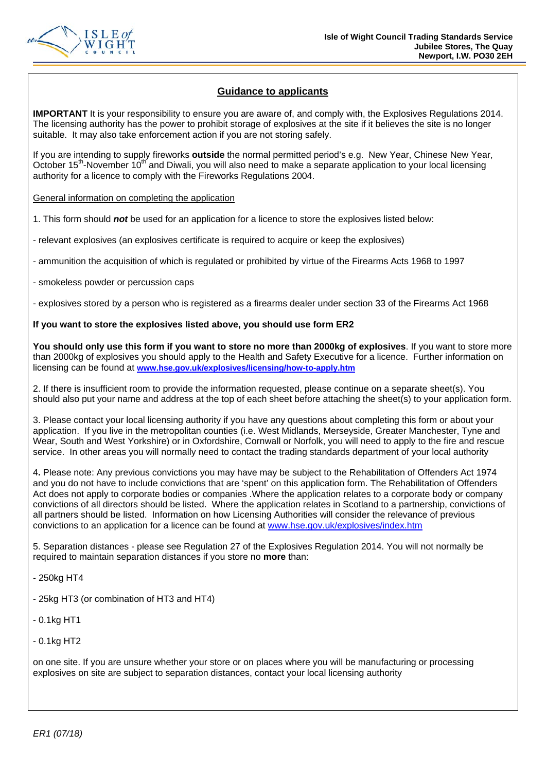

## **Guidance to applicants**

**IMPORTANT** It is your responsibility to ensure you are aware of, and comply with, the Explosives Regulations 2014. The licensing authority has the power to prohibit storage of explosives at the site if it believes the site is no longer suitable. It may also take enforcement action if you are not storing safely.

If you are intending to supply fireworks **outside** the normal permitted period's e.g. New Year, Chinese New Year, October 15<sup>th</sup>-November 10<sup>th</sup> and Diwali, you will also need to make a separate application to your local licensing authority for a licence to comply with the Fireworks Regulations 2004.

## General information on completing the application

1. This form should *not* be used for an application for a licence to store the explosives listed below:

- relevant explosives (an explosives certificate is required to acquire or keep the explosives)

- ammunition the acquisition of which is regulated or prohibited by virtue of the Firearms Acts 1968 to 1997
- smokeless powder or percussion caps
- explosives stored by a person who is registered as a firearms dealer under section 33 of the Firearms Act 1968

## **If you want to store the explosives listed above, you should use form ER2**

**You should only use this form if you want to store no more than 2000kg of explosives**. If you want to store more than 2000kg of explosives you should apply to the Health and Safety Executive for a licence. Further information on licensing can be found at **www.hse.gov.uk/explosives/licensing/how-to-apply.htm** 

2. If there is insufficient room to provide the information requested, please continue on a separate sheet(s). You should also put your name and address at the top of each sheet before attaching the sheet(s) to your application form.

3. Please contact your local licensing authority if you have any questions about completing this form or about your application. If you live in the metropolitan counties (i.e. West Midlands, Merseyside, Greater Manchester, Tyne and Wear, South and West Yorkshire) or in Oxfordshire, Cornwall or Norfolk, you will need to apply to the fire and rescue service. In other areas you will normally need to contact the trading standards department of your local authority

4**.** Please note: Any previous convictions you may have may be subject to the Rehabilitation of Offenders Act 1974 and you do not have to include convictions that are 'spent' on this application form. The Rehabilitation of Offenders Act does not apply to corporate bodies or companies .Where the application relates to a corporate body or company convictions of all directors should be listed. Where the application relates in Scotland to a partnership, convictions of all partners should be listed. Information on how Licensing Authorities will consider the relevance of previous convictions to an application for a licence can be found at www.hse.gov.uk/explosives/index.htm

5. Separation distances - please see Regulation 27 of the Explosives Regulation 2014. You will not normally be required to maintain separation distances if you store no **more** than:

- 250kg HT4

- 25kg HT3 (or combination of HT3 and HT4)

- 0.1kg HT1

- 0.1kg HT2

on one site. If you are unsure whether your store or on places where you will be manufacturing or processing explosives on site are subject to separation distances, contact your local licensing authority